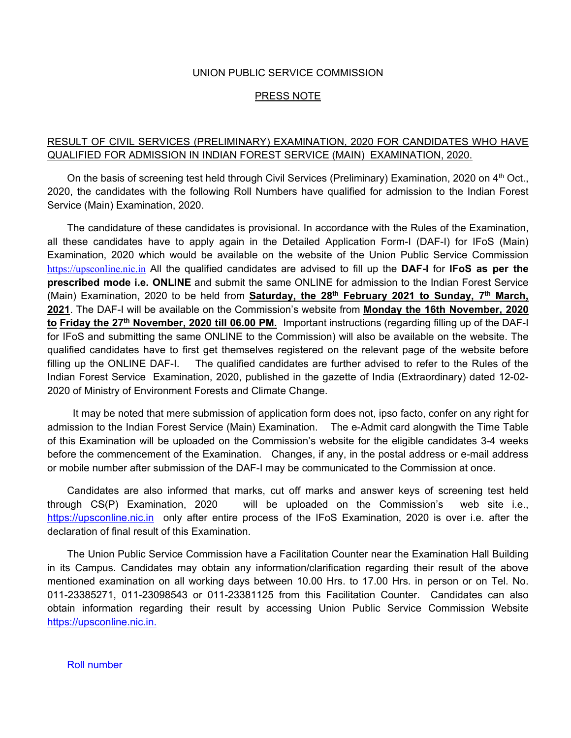### UNION PUBLIC SERVICE COMMISSION

#### PRESS NOTE

## RESULT OF CIVIL SERVICES (PRELIMINARY) EXAMINATION, 2020 FOR CANDIDATES WHO HAVE QUALIFIED FOR ADMISSION IN INDIAN FOREST SERVICE (MAIN) EXAMINATION, 2020.

On the basis of screening test held through Civil Services (Preliminary) Examination, 2020 on 4<sup>th</sup> Oct., 2020, the candidates with the following Roll Numbers have qualified for admission to the Indian Forest Service (Main) Examination, 2020.

 The candidature of these candidates is provisional. In accordance with the Rules of the Examination, all these candidates have to apply again in the Detailed Application Form-I (DAF-I) for IFoS (Main) Examination, 2020 which would be available on the website of the Union Public Service Commission https://upsconline.nic.in All the qualified candidates are advised to fill up the **DAF-I** for **IFoS as per the prescribed mode i.e. ONLINE** and submit the same ONLINE for admission to the Indian Forest Service (Main) Examination, 2020 to be held from **Saturday, the 28<sup>th</sup> February 2021 to Sunday, 7<sup>th</sup> March, 2021**. The DAF-I will be available on the Commission's website from **Monday the 16th November, 2020 to Friday the 27th November, 2020 till 06.00 PM.** Important instructions (regarding filling up of the DAF-I for IFoS and submitting the same ONLINE to the Commission) will also be available on the website. The qualified candidates have to first get themselves registered on the relevant page of the website before filling up the ONLINE DAF-I. The qualified candidates are further advised to refer to the Rules of the Indian Forest Service Examination, 2020, published in the gazette of India (Extraordinary) dated 12-02- 2020 of Ministry of Environment Forests and Climate Change.

 It may be noted that mere submission of application form does not, ipso facto, confer on any right for admission to the Indian Forest Service (Main) Examination. The e-Admit card alongwith the Time Table of this Examination will be uploaded on the Commission's website for the eligible candidates 3-4 weeks before the commencement of the Examination. Changes, if any, in the postal address or e-mail address or mobile number after submission of the DAF-I may be communicated to the Commission at once.

 Candidates are also informed that marks, cut off marks and answer keys of screening test held through CS(P) Examination, 2020 will be uploaded on the Commission's web site i.e., https://upsconline.nic.in only after entire process of the IFoS Examination, 2020 is over i.e. after the declaration of final result of this Examination.

The Union Public Service Commission have a Facilitation Counter near the Examination Hall Building in its Campus. Candidates may obtain any information/clarification regarding their result of the above mentioned examination on all working days between 10.00 Hrs. to 17.00 Hrs. in person or on Tel. No. 011-23385271, 011-23098543 or 011-23381125 from this Facilitation Counter. Candidates can also obtain information regarding their result by accessing Union Public Service Commission Website https://upsconline.nic.in.

Roll number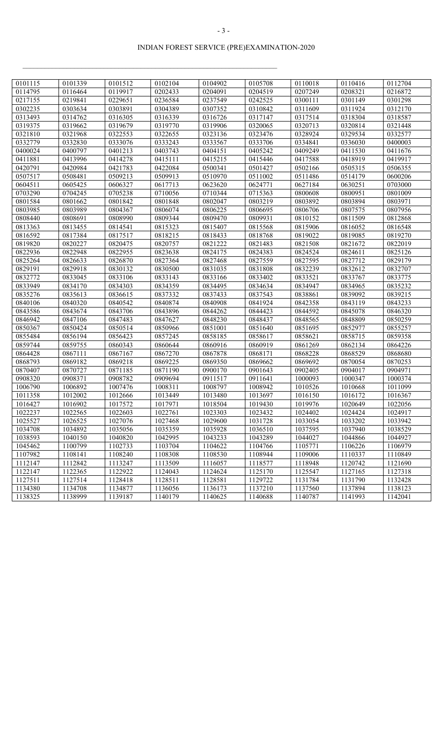# INDIAN FOREST SERVICE (PRE)EXAMINATION-2020

| 0101115 | 0101339 | 0101512 | 0102104 | 0104902 | 0105708 | 0110018 | 0110416 | 0112704 |
|---------|---------|---------|---------|---------|---------|---------|---------|---------|
| 0114795 | 0116464 | 0119917 | 0202433 | 0204091 | 0204519 | 0207249 | 0208321 | 0216872 |
| 0217155 | 0219841 | 0229651 | 0236584 | 0237549 | 0242525 | 0300111 | 0301149 | 0301298 |
| 0302235 | 0303634 | 0303891 | 0304389 | 0307352 | 0310842 | 0311609 | 0311924 | 0312170 |
| 0313493 | 0314762 | 0316305 | 0316339 | 0316726 | 0317147 | 0317514 | 0318304 | 0318587 |
| 0319375 | 0319662 | 0319679 | 0319770 | 0319906 | 0320065 | 0320713 | 0320814 | 0321448 |
| 0321810 | 0321968 | 0322553 | 0322655 | 0323136 | 0323476 | 0328924 | 0329534 | 0332577 |
| 0332779 | 0332830 | 0333076 | 0333243 | 0333567 | 0333706 | 0334841 | 0336030 | 0400003 |
| 0400024 | 0400797 | 0401213 | 0403743 | 0404151 | 0405242 | 0409249 | 0411530 | 0411676 |
| 0411881 | 0413996 | 0414278 | 0415111 | 0415215 | 0415446 | 0417588 | 0418919 | 0419917 |
| 0420791 | 0420984 | 0421783 | 0422084 | 0500341 | 0501427 | 0502166 | 0505315 | 0506355 |
| 0507517 | 0508481 | 0509213 | 0509913 | 0510970 | 0511002 | 0511486 | 0514179 | 0600206 |
| 0604511 | 0605425 | 0606327 | 0617713 | 0623620 | 0624771 | 0627184 | 0630251 | 0703000 |
| 0703290 | 0704245 | 0705238 | 0710056 | 0710344 | 0715363 | 0800608 | 0800951 | 0801009 |
| 0801584 | 0801662 | 0801842 | 0801848 | 0802047 | 0803219 | 0803892 | 0803894 | 0803971 |
| 0803985 | 0803989 | 0804367 | 0806074 | 0806225 | 0806695 | 0806706 | 0807575 | 0807956 |
| 0808440 | 0808691 | 0808990 | 0809344 | 0809470 | 0809931 | 0810152 | 0811509 | 0812868 |
| 0813363 | 0813455 | 0814541 | 0815323 | 0815407 | 0815568 | 0815906 | 0816052 | 0816548 |
| 0816592 | 0817384 | 0817517 | 0818215 | 0818433 | 0818768 | 0819022 | 0819085 | 0819270 |
| 0819820 | 0820227 | 0820475 | 0820757 | 0821222 | 0821483 | 0821508 | 0821672 | 0822019 |
| 0822936 | 0822948 | 0822955 | 0823638 | 0824175 | 0824383 | 0824524 | 0824611 | 0825126 |
| 0825264 | 0826633 | 0826870 | 0827364 | 0827468 | 0827559 | 0827595 | 0827712 | 0829179 |
| 0829191 | 0829918 | 0830132 | 0830500 | 0831035 | 0831808 | 0832239 | 0832612 | 0832707 |
| 0832772 | 0833045 | 0833106 | 0833143 | 0833166 | 0833402 | 0833521 | 0833767 | 0833775 |
| 0833949 | 0834170 | 0834303 | 0834359 | 0834495 | 0834634 | 0834947 | 0834965 | 0835232 |
| 0835276 | 0835613 | 0836615 | 0837332 | 0837433 | 0837543 | 0838861 | 0839092 | 0839215 |
| 0840106 | 0840320 | 0840542 | 0840874 | 0840908 | 0841924 | 0842358 | 0843119 | 0843233 |
| 0843586 | 0843674 | 0843706 | 0843896 | 0844262 | 0844423 | 0844592 | 0845078 | 0846320 |
| 0846942 | 0847106 | 0847483 | 0847627 | 0848230 | 0848437 | 0848565 | 0848809 | 0850259 |
| 0850367 | 0850424 | 0850514 | 0850966 | 0851001 | 0851640 | 0851695 | 0852977 | 0855257 |
| 0855484 | 0856194 | 0856423 | 0857245 | 0858185 | 0858617 | 0858621 | 0858715 | 0859358 |
| 0859744 | 0859755 | 0860343 | 0860644 | 0860916 | 0860919 | 0861269 | 0862134 | 0864226 |
| 0864428 | 0867111 | 0867167 | 0867270 | 0867878 | 0868171 | 0868228 | 0868529 | 0868680 |
| 0868793 | 0869182 | 0869218 | 0869225 | 0869350 | 0869662 | 0869692 | 0870054 | 0870253 |
| 0870407 | 0870727 | 0871185 | 0871190 | 0900170 | 0901643 | 0902405 | 0904017 | 0904971 |
| 0908320 | 0908371 | 0908782 | 0909694 | 0911517 | 0911641 | 1000093 | 1000347 | 1000374 |
| 1006790 | 1006892 | 1007476 | 1008311 | 1008797 | 1008942 | 1010526 | 1010668 | 1011099 |
| 1011358 | 1012002 | 1012666 | 1013449 | 1013480 | 1013697 | 1016150 | 1016172 | 1016367 |
| 1016427 | 1016902 | 1017572 | 1017971 | 1018504 | 1019430 | 1019976 | 1020649 | 1022056 |
| 1022237 | 1022565 | 1022603 | 1022761 | 1023303 | 1023432 | 1024402 | 1024424 | 1024917 |
| 1025527 | 1026525 | 1027076 | 1027468 | 1029600 | 1031728 | 1033054 | 1033202 | 1033942 |
| 1034708 | 1034892 | 1035056 | 1035359 | 1035928 | 1036510 | 1037595 | 1037940 | 1038529 |
| 1038593 | 1040150 | 1040820 | 1042995 | 1043233 | 1043289 | 1044027 | 1044866 | 1044927 |
| 1045462 | 1100799 | 1102733 | 1103704 | 1104622 | 1104766 | 1105771 | 1106226 | 1106979 |
| 1107982 | 1108141 | 1108240 | 1108308 | 1108530 | 1108944 | 1109006 | 1110337 | 1110849 |
| 1112147 | 1112842 | 1113247 | 1113509 | 1116057 | 1118577 | 1118948 | 1120742 | 1121690 |
| 1122147 | 1122365 | 1122922 | 1124043 | 1124624 | 1125170 | 1125547 | 1127165 | 1127318 |
| 1127511 | 1127514 | 1128418 | 1128511 | 1128581 | 1129722 | 1131784 | 1131790 | 1132428 |
| 1134380 | 1134708 | 1134877 | 1136056 | 1136173 | 1137210 | 1137560 | 1137894 | 1138123 |
| 1138325 | 1138999 | 1139187 | 1140179 | 1140625 | 1140688 | 1140787 | 1141993 | 1142041 |
|         |         |         |         |         |         |         |         |         |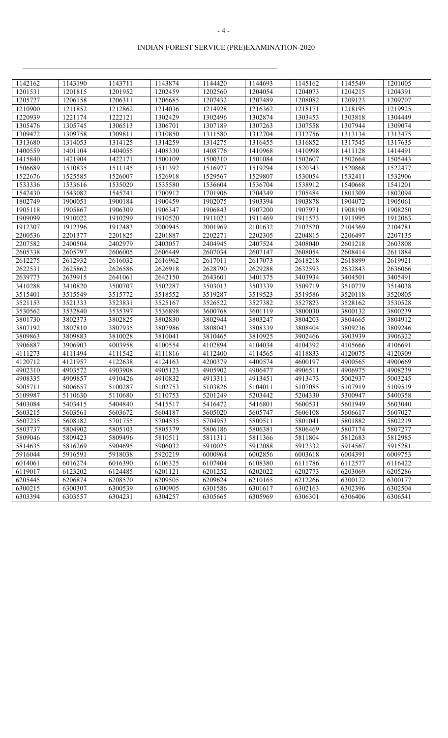# INDIAN FOREST SERVICE (PRE)EXAMINATION-2020

 $\mathcal{L}_\text{max} = \mathcal{L}_\text{max} = \mathcal{L}_\text{max} = \mathcal{L}_\text{max} = \mathcal{L}_\text{max} = \mathcal{L}_\text{max} = \mathcal{L}_\text{max} = \mathcal{L}_\text{max} = \mathcal{L}_\text{max} = \mathcal{L}_\text{max} = \mathcal{L}_\text{max} = \mathcal{L}_\text{max} = \mathcal{L}_\text{max} = \mathcal{L}_\text{max} = \mathcal{L}_\text{max} = \mathcal{L}_\text{max} = \mathcal{L}_\text{max} = \mathcal{L}_\text{max} = \mathcal{$ 

| 1142162 | 1143190 | 1143711 | 1143874 | 1144420 | 1144693 | 1145162 | 1145549 | 1201005 |
|---------|---------|---------|---------|---------|---------|---------|---------|---------|
| 1201531 | 1201815 | 1201952 | 1202459 | 1202560 | 1204054 | 1204073 | 1204215 | 1204391 |
| 1205727 | 1206158 | 1206311 | 1206685 | 1207432 | 1207489 | 1208082 | 1209123 | 1209707 |
| 1210900 | 1211852 | 1212862 | 1214036 | 1214928 | 1216362 | 1218171 | 1218195 | 1219925 |
| 1220939 | 1221174 | 1222121 | 1302429 | 1302496 | 1302874 | 1303453 | 1303818 | 1304449 |
| 1305476 | 1305745 | 1306513 | 1306701 | 1307189 | 1307263 | 1307558 | 1307944 | 1309074 |
| 1309472 | 1309758 | 1309811 | 1310850 | 1311580 | 1312704 | 1312756 | 1313134 | 1313475 |
| 1313680 | 1314053 | 1314125 | 1314259 | 1314275 | 1316455 | 1316852 | 1317545 | 1317635 |
| 1400559 | 1401104 | 1404055 | 1408330 | 1408776 | 1410968 | 1410998 | 1411128 | 1414491 |
| 1415840 | 1421904 | 1422171 | 1500109 | 1500310 | 1501084 | 1502607 | 1502664 | 1505443 |
| 1506689 | 1510835 | 1511145 | 1511392 | 1516977 | 1519294 | 1520343 | 1520868 | 1522477 |
| 1522676 | 1525585 | 1526007 | 1526918 | 1529567 | 1529807 | 1530054 | 1532411 | 1532906 |
| 1533336 | 1533616 | 1535020 | 1535580 | 1536604 | 1536704 | 1538912 | 1540668 | 1541201 |
| 1542430 | 1543082 | 1545241 | 1700912 | 1701906 | 1704349 | 1705484 | 1801309 | 1802094 |
| 1802749 | 1900051 | 1900184 | 1900459 | 1902075 | 1903394 | 1903878 | 1904072 | 1905061 |
| 1905118 | 1905867 | 1906309 | 1906347 | 1906843 | 1907200 | 1907971 | 1908190 | 1908250 |
| 1909099 | 1910022 | 1910299 | 1910520 | 1911021 | 1911469 | 1911573 | 1911995 | 1912063 |
| 1912307 | 1912396 | 1912483 | 2000945 | 2001969 | 2101632 | 2102520 | 2104369 | 2104781 |
| 2200536 | 2201377 | 2201825 | 2201887 | 2202271 | 2202305 | 2204815 | 2206497 | 2207135 |
| 2207582 | 2400504 | 2402979 | 2403057 | 2404945 | 2407524 | 2408040 | 2601218 | 2603808 |
| 2605338 | 2605797 | 2606005 | 2606449 | 2607034 | 2607147 | 2608054 | 2608414 | 2611884 |
| 2612275 | 2612932 | 2616032 | 2616962 | 2617011 | 2617073 | 2618218 | 2618899 | 2619921 |
| 2622531 | 2625862 | 2626586 | 2626918 | 2628790 | 2629288 | 2632593 | 2632843 | 2636066 |
| 2639773 | 2639915 | 2641061 | 2642150 | 2643601 | 3401375 | 3403934 | 3404501 | 3405491 |
| 3410288 | 3410820 | 3500707 | 3502287 | 3503013 | 3503339 | 3509719 | 3510779 | 3514038 |
| 3515401 | 3515549 | 3515772 | 3518552 | 3519287 | 3519523 | 3519586 | 3520118 | 3520805 |
| 3521153 | 3521333 | 3523831 | 3525167 | 3526522 | 3527382 | 3527823 | 3528162 | 3530528 |
| 3530562 | 3532840 | 3535397 | 3536898 | 3600768 | 3601119 | 3800030 | 3800132 | 3800239 |
| 3801730 | 3802373 | 3802825 | 3802830 | 3802944 | 3803247 | 3804203 | 3804665 | 3804912 |
| 3807192 | 3807810 | 3807935 | 3807986 | 3808043 | 3808339 | 3808404 | 3809236 | 3809246 |
| 3809863 | 3809883 | 3810028 | 3810041 | 3810465 | 3810925 | 3902466 | 3903939 | 3906322 |
| 3906887 | 3906903 | 4003958 | 4100554 | 4102894 | 4104034 | 4104392 | 4105666 | 4106691 |
| 4111273 | 4111494 | 4111542 | 4111816 | 4112400 | 4114565 | 4118833 | 4120075 | 4120309 |
| 4120712 | 4121957 | 4122638 | 4124163 | 4200379 | 4400574 | 4600197 | 4900565 | 4900669 |
| 4902310 | 4903572 | 4903908 | 4905123 | 4905902 | 4906477 | 4906511 | 4906975 | 4908239 |
| 4908335 | 4909857 | 4910426 | 4910832 | 4913311 | 4913451 | 4913473 | 5002937 | 5003245 |
| 5005711 | 5006657 | 5100287 | 5102753 | 5103826 | 5104011 | 5107085 | 5107919 | 5109519 |
| 5109987 | 5110630 | 5110680 | 5110753 | 5201249 | 5203442 | 5204330 | 5300947 | 5400358 |
| 5403084 | 5403415 | 5404840 | 5415517 | 5416472 | 5416801 | 5600531 | 5601949 | 5603040 |
| 5603215 | 5603561 | 5603672 | 5604187 | 5605020 | 5605747 | 5606108 | 5606617 | 5607027 |
| 5607235 | 5608182 | 5701755 | 5704535 | 5704953 | 5800511 | 5801041 | 5801882 | 5802219 |
| 5803737 | 5804902 | 5805103 | 5805379 | 5806186 | 5806381 | 5806469 | 5807174 | 5807277 |
| 5809046 | 5809423 | 5809496 | 5810511 | 5811311 | 5811366 | 5811804 | 5812683 | 5812985 |
| 5814635 | 5816269 | 5904695 | 5906032 | 5910025 | 5912088 | 5912332 | 5914567 | 5915281 |
| 5916044 | 5916591 | 5918038 | 5920219 | 6000964 | 6002856 | 6003618 | 6004391 | 6009753 |
| 6014061 | 6016274 | 6016390 | 6106325 | 6107404 | 6108380 | 6111786 | 6112577 | 6116422 |
| 6119017 | 6123202 | 6124485 | 6201121 | 6201252 | 6202022 | 6202773 | 6203069 | 6205286 |
| 6205445 | 6206874 | 6208570 | 6209505 | 6209624 | 6210165 | 6212266 | 6300172 | 6300177 |
| 6300215 | 6300307 | 6300539 | 6300905 | 6301586 | 6301617 | 6302163 | 6302396 | 6302504 |
| 6303394 | 6303557 | 6304231 | 6304257 | 6305665 | 6305969 | 6306301 | 6306406 | 6306541 |
|         |         |         |         |         |         |         |         |         |